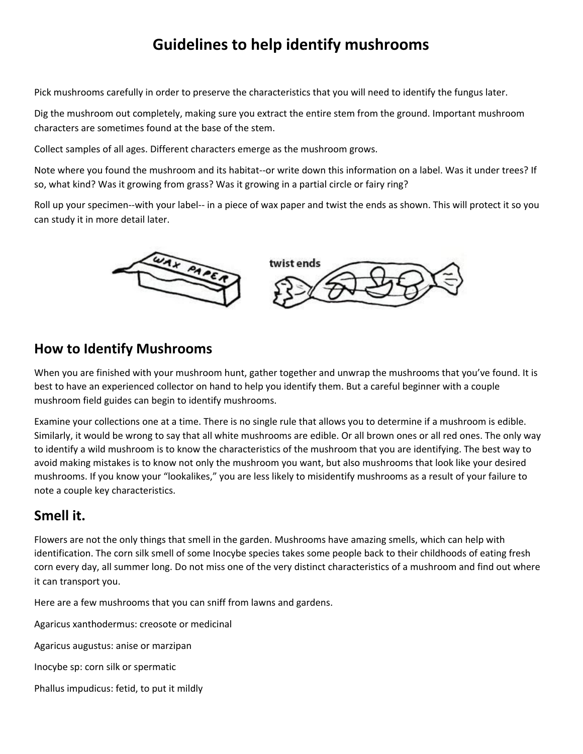# **Guidelines to help identify mushrooms**

Pick mushrooms carefully in order to preserve the characteristics that you will need to identify the fungus later.

Dig the mushroom out completely, making sure you extract the entire stem from the ground. Important mushroom characters are sometimes found at the base of the stem.

Collect samples of all ages. Different characters emerge as the mushroom grows.

Note where you found the mushroom and its habitat--or write down this information on a label. Was it under trees? If so, what kind? Was it growing from grass? Was it growing in a partial circle or fairy ring?

Roll up your specimen--with your label-- in a piece of wax paper and twist the ends as shown. This will protect it so you can study it in more detail later.



#### **How to Identify Mushrooms**

When you are finished with your mushroom hunt, gather together and unwrap the mushrooms that you've found. It is best to have an experienced collector on hand to help you identify them. But a careful beginner with a couple mushroom field guides can begin to identify mushrooms.

Examine your collections one at a time. There is no single rule that allows you to determine if a mushroom is edible. Similarly, it would be wrong to say that all white mushrooms are edible. Or all brown ones or all red ones. The only way to identify a wild mushroom is to know the characteristics of the mushroom that you are identifying. The best way to avoid making mistakes is to know not only the mushroom you want, but also mushrooms that look like your desired mushrooms. If you know your "lookalikes," you are less likely to misidentify mushrooms as a result of your failure to note a couple key characteristics.

### **Smell it.**

Flowers are not the only things that smell in the garden. Mushrooms have amazing smells, which can help with identification. The corn silk smell of some Inocybe species takes some people back to their childhoods of eating fresh corn every day, all summer long. Do not miss one of the very distinct characteristics of a mushroom and find out where it can transport you.

Here are a few mushrooms that you can sniff from lawns and gardens.

Agaricus xanthodermus: creosote or medicinal

Agaricus augustus: anise or marzipan

Inocybe sp: corn silk or spermatic

Phallus impudicus: fetid, to put it mildly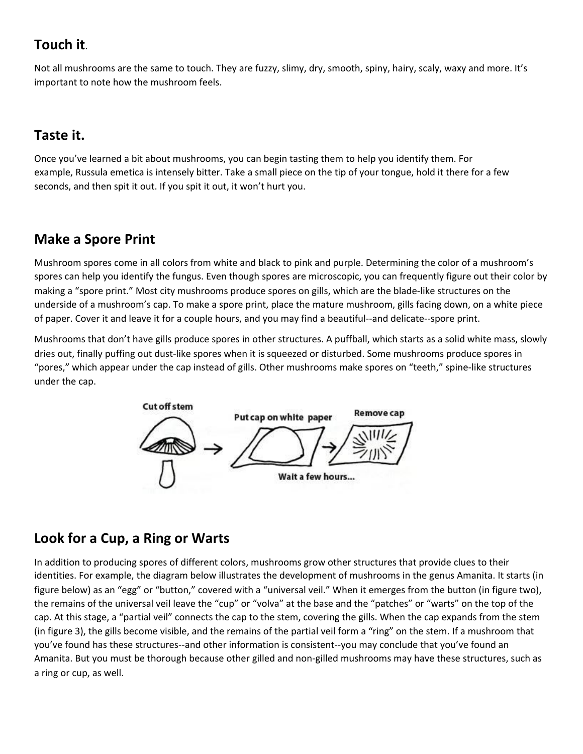### **Touch it**.

Not all mushrooms are the same to touch. They are fuzzy, slimy, dry, smooth, spiny, hairy, scaly, waxy and more. It's important to note how the mushroom feels.

## **Taste it.**

Once you've learned a bit about mushrooms, you can begin tasting them to help you identify them. For example, Russula emetica is intensely bitter. Take a small piece on the tip of your tongue, hold it there for a few seconds, and then spit it out. If you spit it out, it won't hurt you.

# **Make a Spore Print**

Mushroom spores come in all colors from white and black to pink and purple. Determining the color of a mushroom's spores can help you identify the fungus. Even though spores are microscopic, you can frequently figure out their color by making a "spore print." Most city mushrooms produce spores on gills, which are the blade-like structures on the underside of a mushroom's cap. To make a spore print, place the mature mushroom, gills facing down, on a white piece of paper. Cover it and leave it for a couple hours, and you may find a beautiful--and delicate--spore print.

Mushrooms that don't have gills produce spores in other structures. A puffball, which starts as a solid white mass, slowly dries out, finally puffing out dust-like spores when it is squeezed or disturbed. Some mushrooms produce spores in "pores," which appear under the cap instead of gills. Other mushrooms make spores on "teeth," spine-like structures under the cap.



## **Look for a Cup, a Ring or Warts**

In addition to producing spores of different colors, mushrooms grow other structures that provide clues to their identities. For example, the diagram below illustrates the development of mushrooms in the genus Amanita. It starts (in figure below) as an "egg" or "button," covered with a "universal veil." When it emerges from the button (in figure two), the remains of the universal veil leave the "cup" or "volva" at the base and the "patches" or "warts" on the top of the cap. At this stage, a "partial veil" connects the cap to the stem, covering the gills. When the cap expands from the stem (in figure 3), the gills become visible, and the remains of the partial veil form a "ring" on the stem. If a mushroom that you've found has these structures--and other information is consistent--you may conclude that you've found an Amanita. But you must be thorough because other gilled and non-gilled mushrooms may have these structures, such as a ring or cup, as well.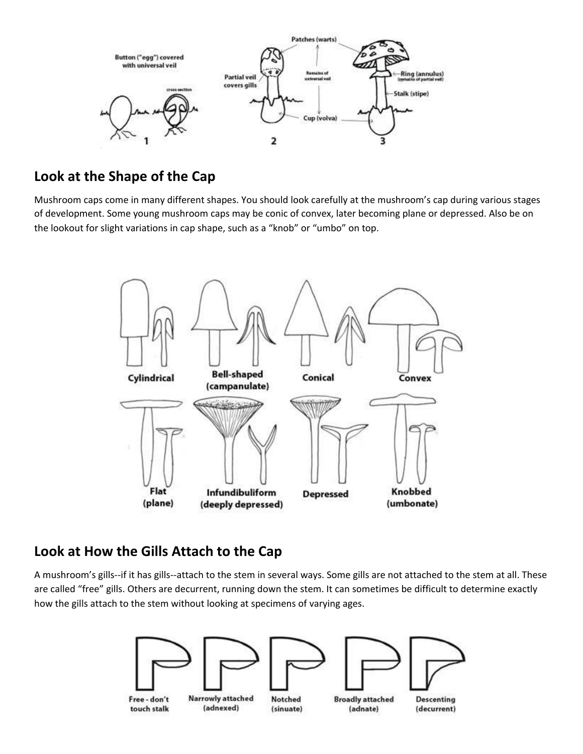

### **Look at the Shape of the Cap**

Mushroom caps come in many different shapes. You should look carefully at the mushroom's cap during various stages of development. Some young mushroom caps may be conic of convex, later becoming plane or depressed. Also be on the lookout for slight variations in cap shape, such as a "knob" or "umbo" on top.



### **Look at How the Gills Attach to the Cap**

A mushroom's gills--if it has gills--attach to the stem in several ways. Some gills are not attached to the stem at all. These are called "free" gills. Others are decurrent, running down the stem. It can sometimes be difficult to determine exactly how the gills attach to the stem without looking at specimens of varying ages.

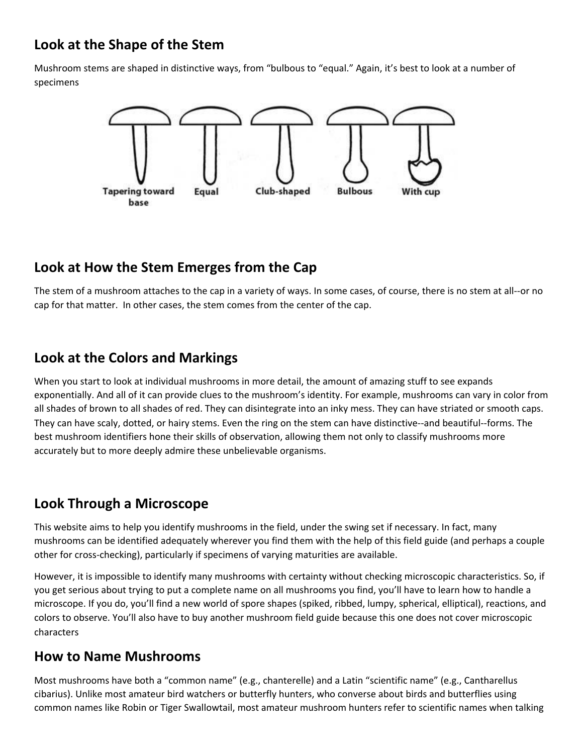### **Look at the Shape of the Stem**

Mushroom stems are shaped in distinctive ways, from "bulbous to "equal." Again, it's best to look at a number of specimens



### **Look at How the Stem Emerges from the Cap**

The stem of a mushroom attaches to the cap in a variety of ways. In some cases, of course, there is no stem at all--or no cap for that matter. In other cases, the stem comes from the center of the cap.

#### **Look at the Colors and Markings**

When you start to look at individual mushrooms in more detail, the amount of amazing stuff to see expands exponentially. And all of it can provide clues to the mushroom's identity. For example, mushrooms can vary in color from all shades of brown to all shades of red. They can disintegrate into an inky mess. They can have striated or smooth caps. They can have scaly, dotted, or hairy stems. Even the ring on the stem can have distinctive--and beautiful--forms. The best mushroom identifiers hone their skills of observation, allowing them not only to classify mushrooms more accurately but to more deeply admire these unbelievable organisms.

## **Look Through a Microscope**

This website aims to help you identify mushrooms in the field, under the swing set if necessary. In fact, many mushrooms can be identified adequately wherever you find them with the help of this field guide (and perhaps a couple other for cross-checking), particularly if specimens of varying maturities are available.

However, it is impossible to identify many mushrooms with certainty without checking microscopic characteristics. So, if you get serious about trying to put a complete name on all mushrooms you find, you'll have to learn how to handle a microscope. If you do, you'll find a new world of spore shapes (spiked, ribbed, lumpy, spherical, elliptical), reactions, and colors to observe. You'll also have to buy another mushroom field guide because this one does not cover microscopic characters

#### **How to Name Mushrooms**

Most mushrooms have both a "common name" (e.g., chanterelle) and a Latin "scientific name" (e.g., Cantharellus cibarius). Unlike most amateur bird watchers or butterfly hunters, who converse about birds and butterflies using common names like Robin or Tiger Swallowtail, most amateur mushroom hunters refer to scientific names when talking